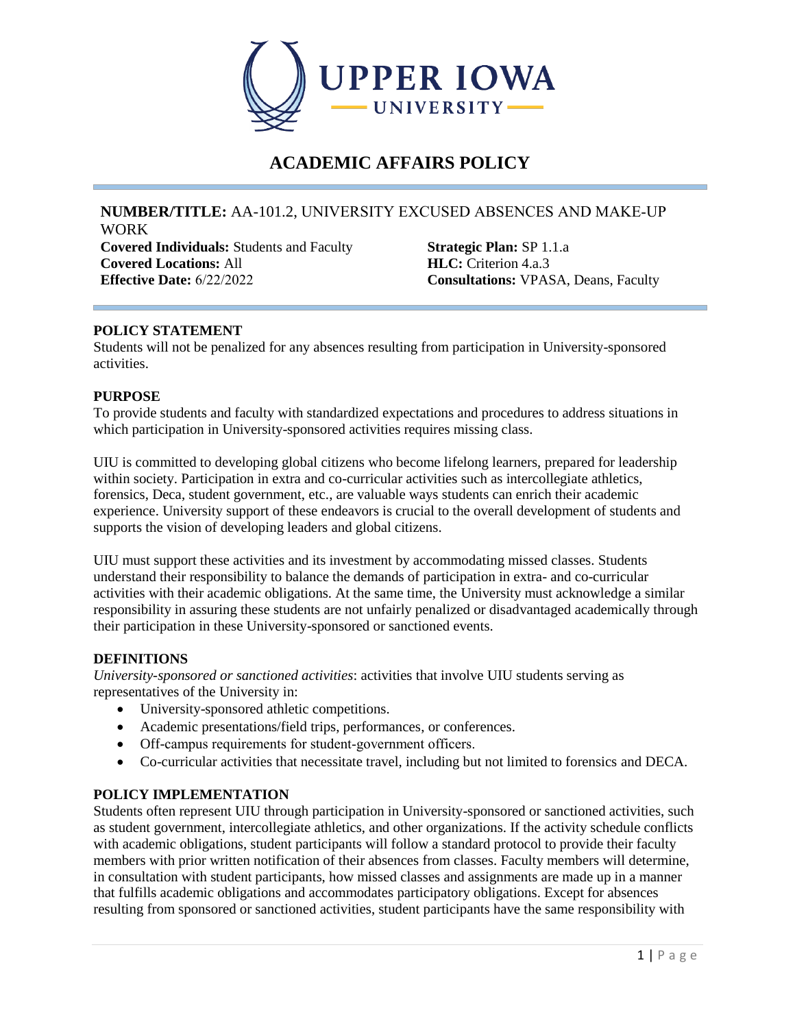

# **ACADEMIC AFFAIRS POLICY**

#### **NUMBER/TITLE:** AA-101.2, UNIVERSITY EXCUSED ABSENCES AND MAKE‐UP WORK

**Covered Individuals:** Students and Faculty **Covered Locations:** All **Effective Date:** 6/22/2022 **Consultations:** VPASA, Deans, Faculty

**Strategic Plan:** SP 1.1.a **HLC:** Criterion 4.a.3

## **POLICY STATEMENT**

Students will not be penalized for any absences resulting from participation in University-sponsored activities.

## **PURPOSE**

To provide students and faculty with standardized expectations and procedures to address situations in which participation in University-sponsored activities requires missing class.

UIU is committed to developing global citizens who become lifelong learners, prepared for leadership within society. Participation in extra and co-curricular activities such as intercollegiate athletics, forensics, Deca, student government, etc., are valuable ways students can enrich their academic experience. University support of these endeavors is crucial to the overall development of students and supports the vision of developing leaders and global citizens.

UIU must support these activities and its investment by accommodating missed classes. Students understand their responsibility to balance the demands of participation in extra- and co-curricular activities with their academic obligations. At the same time, the University must acknowledge a similar responsibility in assuring these students are not unfairly penalized or disadvantaged academically through their participation in these University-sponsored or sanctioned events.

## **DEFINITIONS**

*University-sponsored or sanctioned activities*: activities that involve UIU students serving as representatives of the University in:

- University-sponsored athletic competitions.
- Academic presentations/field trips, performances, or conferences.
- Off-campus requirements for student-government officers.
- Co-curricular activities that necessitate travel, including but not limited to forensics and DECA.

## **POLICY IMPLEMENTATION**

Students often represent UIU through participation in University-sponsored or sanctioned activities, such as student government, intercollegiate athletics, and other organizations. If the activity schedule conflicts with academic obligations, student participants will follow a standard protocol to provide their faculty members with prior written notification of their absences from classes. Faculty members will determine, in consultation with student participants, how missed classes and assignments are made up in a manner that fulfills academic obligations and accommodates participatory obligations. Except for absences resulting from sponsored or sanctioned activities, student participants have the same responsibility with